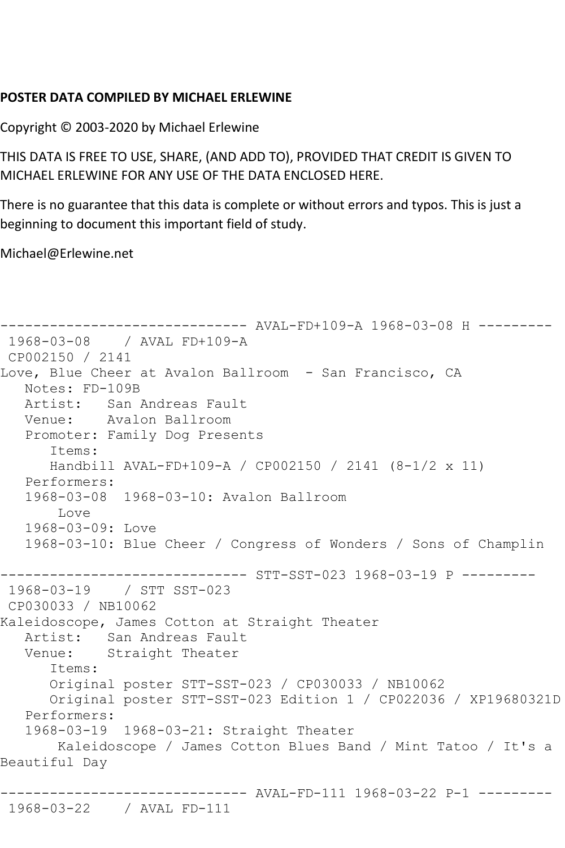## **POSTER DATA COMPILED BY MICHAEL ERLEWINE**

Copyright © 2003-2020 by Michael Erlewine

THIS DATA IS FREE TO USE, SHARE, (AND ADD TO), PROVIDED THAT CREDIT IS GIVEN TO MICHAEL ERLEWINE FOR ANY USE OF THE DATA ENCLOSED HERE.

There is no guarantee that this data is complete or without errors and typos. This is just a beginning to document this important field of study.

Michael@Erlewine.net

```
------------------------------ AVAL-FD+109-A 1968-03-08 H ---------
1968-03-08 / AVAL FD+109-A
CP002150 / 2141
Love, Blue Cheer at Avalon Ballroom - San Francisco, CA
   Notes: FD-109B
   Artist: San Andreas Fault
   Venue: Avalon Ballroom
   Promoter: Family Dog Presents
       Items:
      Handbill AVAL-FD+109-A / CP002150 / 2141 (8-1/2 x 11)
   Performers:
   1968-03-08 1968-03-10: Avalon Ballroom
        Love
   1968-03-09: Love
   1968-03-10: Blue Cheer / Congress of Wonders / Sons of Champlin
------------------------------ STT-SST-023 1968-03-19 P ---------
1968-03-19 / STT SST-023
CP030033 / NB10062
Kaleidoscope, James Cotton at Straight Theater
  Artist: San Andreas Fault<br>Venue: Straight Theater
           Straight Theater
       Items:
      Original poster STT-SST-023 / CP030033 / NB10062
      Original poster STT-SST-023 Edition 1 / CP022036 / XP19680321D
   Performers:
   1968-03-19 1968-03-21: Straight Theater
        Kaleidoscope / James Cotton Blues Band / Mint Tatoo / It's a 
Beautiful Day
------------------------------ AVAL-FD-111 1968-03-22 P-1 ---------
1968-03-22 / AVAL FD-111
```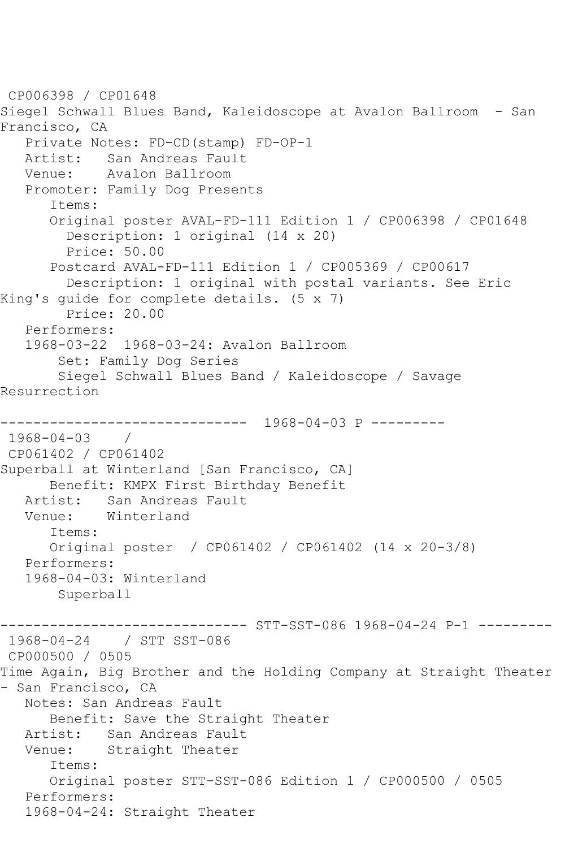CP006398 / CP01648 Siegel Schwall Blues Band, Kaleidoscope at Avalon Ballroom - San Francisco, CA Private Notes: FD-CD(stamp) FD-OP-1 Artist: San Andreas Fault Venue: Avalon Ballroom Promoter: Family Dog Presents Items: Original poster AVAL-FD-111 Edition 1 / CP006398 / CP01648 Description: 1 original (14 x 20) Price: 50.00 Postcard AVAL-FD-111 Edition 1 / CP005369 / CP00617 Description: 1 original with postal variants. See Eric King's guide for complete details. (5 x 7) Price: 20.00 Performers: 1968-03-22 1968-03-24: Avalon Ballroom Set: Family Dog Series Siegel Schwall Blues Band / Kaleidoscope / Savage Resurrection ------------------------------ 1968-04-03 P --------- 1968-04-03 / CP061402 / CP061402 Superball at Winterland [San Francisco, CA] Benefit: KMPX First Birthday Benefit Artist: San Andreas Fault Venue: Winterland Items: Original poster / CP061402 / CP061402 (14 x 20-3/8) Performers: 1968-04-03: Winterland Superball ----- STT-SST-086 1968-04-24 P-1 ---------1968-04-24 / STT SST-086 CP000500 / 0505 Time Again, Big Brother and the Holding Company at Straight Theater - San Francisco, CA Notes: San Andreas Fault Benefit: Save the Straight Theater Artist: San Andreas Fault Venue: Straight Theater Items: Original poster STT-SST-086 Edition 1 / CP000500 / 0505 Performers: 1968-04-24: Straight Theater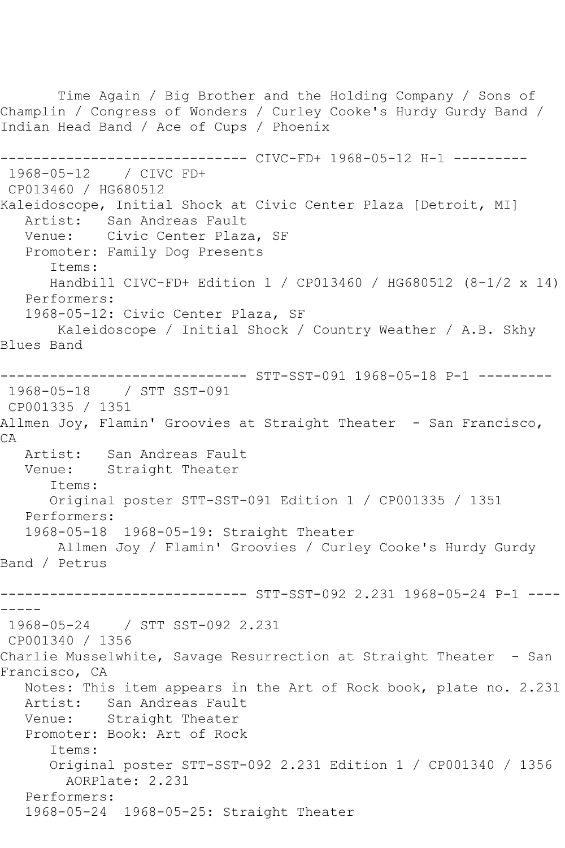Time Again / Big Brother and the Holding Company / Sons of Champlin / Congress of Wonders / Curley Cooke's Hurdy Gurdy Band / Indian Head Band / Ace of Cups / Phoenix ------------------------------ CIVC-FD+ 1968-05-12 H-1 --------- 1968-05-12 / CIVC FD+ CP013460 / HG680512 Kaleidoscope, Initial Shock at Civic Center Plaza [Detroit, MI] Artist: San Andreas Fault<br>Venue: Civic Center Plaza Civic Center Plaza, SF Promoter: Family Dog Presents Items: Handbill CIVC-FD+ Edition 1 / CP013460 / HG680512 (8-1/2 x 14) Performers: 1968-05-12: Civic Center Plaza, SF Kaleidoscope / Initial Shock / Country Weather / A.B. Skhy Blues Band ------------------------------ STT-SST-091 1968-05-18 P-1 --------- 1968-05-18 / STT SST-091 CP001335 / 1351 Allmen Joy, Flamin' Groovies at Straight Theater - San Francisco,  $C$  $A$  Artist: San Andreas Fault Venue: Straight Theater Items: Original poster STT-SST-091 Edition 1 / CP001335 / 1351 Performers: 1968-05-18 1968-05-19: Straight Theater Allmen Joy / Flamin' Groovies / Curley Cooke's Hurdy Gurdy Band / Petrus ------------------------------ STT-SST-092 2.231 1968-05-24 P-1 ---- ----- 1968-05-24 / STT SST-092 2.231 CP001340 / 1356 Charlie Musselwhite, Savage Resurrection at Straight Theater - San Francisco, CA Notes: This item appears in the Art of Rock book, plate no. 2.231 Artist: San Andreas Fault Venue: Straight Theater Promoter: Book: Art of Rock Items: Original poster STT-SST-092 2.231 Edition 1 / CP001340 / 1356 AORPlate: 2.231 Performers: 1968-05-24 1968-05-25: Straight Theater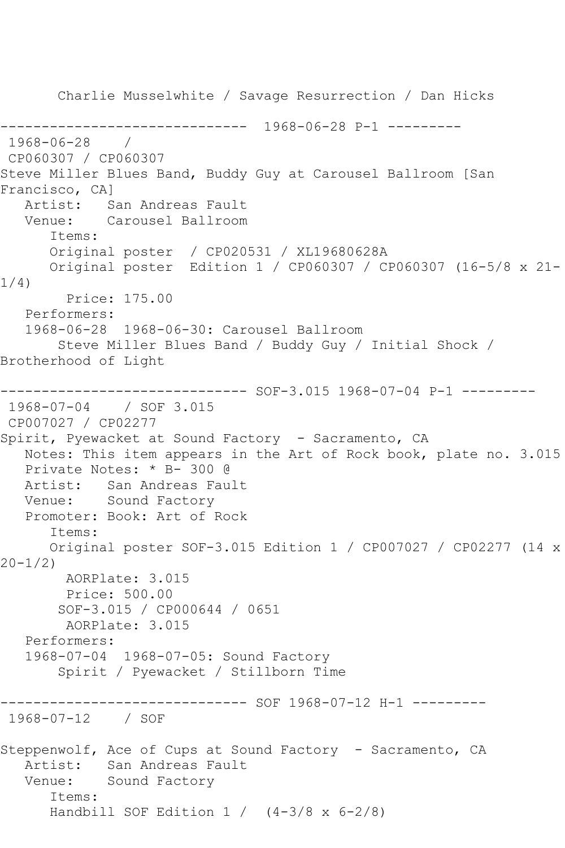Charlie Musselwhite / Savage Resurrection / Dan Hicks ------------------------------ 1968-06-28 P-1 --------- 1968-06-28 / CP060307 / CP060307 Steve Miller Blues Band, Buddy Guy at Carousel Ballroom [San Francisco, CA] Artist: San Andreas Fault Venue: Carousel Ballroom Items: Original poster / CP020531 / XL19680628A Original poster Edition 1 / CP060307 / CP060307 (16-5/8 x 21- 1/4) Price: 175.00 Performers: 1968-06-28 1968-06-30: Carousel Ballroom Steve Miller Blues Band / Buddy Guy / Initial Shock / Brotherhood of Light ------------------------------ SOF-3.015 1968-07-04 P-1 --------- 1968-07-04 / SOF 3.015 CP007027 / CP02277 Spirit, Pyewacket at Sound Factory - Sacramento, CA Notes: This item appears in the Art of Rock book, plate no. 3.015 Private Notes: \* B- 300 @ Artist: San Andreas Fault Venue: Sound Factory Promoter: Book: Art of Rock Items: Original poster SOF-3.015 Edition 1 / CP007027 / CP02277 (14 x 20-1/2) AORPlate: 3.015 Price: 500.00 SOF-3.015 / CP000644 / 0651 AORPlate: 3.015 Performers: 1968-07-04 1968-07-05: Sound Factory Spirit / Pyewacket / Stillborn Time ------------------------------ SOF 1968-07-12 H-1 --------- 1968-07-12 / SOF Steppenwolf, Ace of Cups at Sound Factory - Sacramento, CA Artist: San Andreas Fault Venue: Sound Factory Items: Handbill SOF Edition  $1 / (4-3/8 \times 6-2/8)$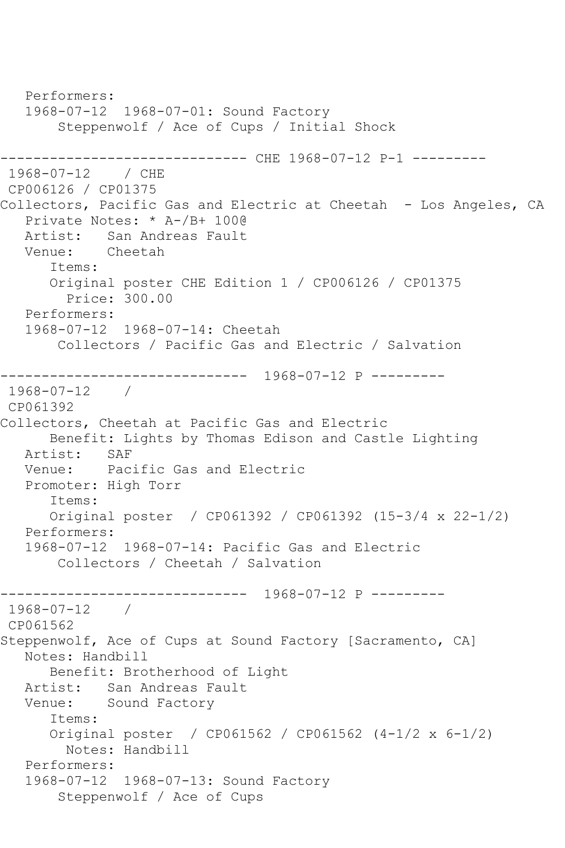```
 Performers:
   1968-07-12 1968-07-01: Sound Factory
        Steppenwolf / Ace of Cups / Initial Shock
------------------------------ CHE 1968-07-12 P-1 ---------
1968-07-12 / CHE 
CP006126 / CP01375
Collectors, Pacific Gas and Electric at Cheetah - Los Angeles, CA
   Private Notes: * A-/B+ 100@
   Artist: San Andreas Fault
   Venue: Cheetah
       Items:
       Original poster CHE Edition 1 / CP006126 / CP01375
         Price: 300.00
   Performers:
   1968-07-12 1968-07-14: Cheetah
        Collectors / Pacific Gas and Electric / Salvation
     ------------------------------ 1968-07-12 P ---------
1968-07-12 / 
CP061392
Collectors, Cheetah at Pacific Gas and Electric
     Benefit: Lights by Thomas Edison and Castle Lighting<br>cist: SAF
  Artist:<br>Venue:
           Pacific Gas and Electric
   Promoter: High Torr
       Items:
      Original poster / CP061392 / CP061392 (15-3/4 x 22-1/2)
   Performers:
   1968-07-12 1968-07-14: Pacific Gas and Electric
        Collectors / Cheetah / Salvation
------------------------------ 1968-07-12 P ---------
1968-07-12 / 
CP061562
Steppenwolf, Ace of Cups at Sound Factory [Sacramento, CA]
   Notes: Handbill
       Benefit: Brotherhood of Light
   Artist: San Andreas Fault
   Venue: Sound Factory
       Items:
      Original poster / CP061562 / CP061562 (4-1/2 x 6-1/2)
         Notes: Handbill
   Performers:
   1968-07-12 1968-07-13: Sound Factory
        Steppenwolf / Ace of Cups
```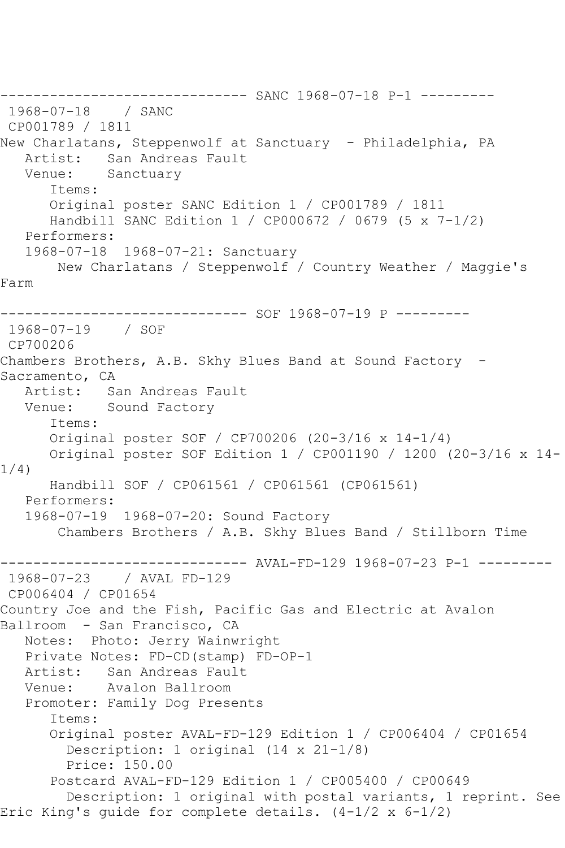------------------------------ SANC 1968-07-18 P-1 --------- 1968-07-18 / SANC CP001789 / 1811 New Charlatans, Steppenwolf at Sanctuary - Philadelphia, PA Artist: San Andreas Fault Venue: Sanctuary Items: Original poster SANC Edition 1 / CP001789 / 1811 Handbill SANC Edition 1 / CP000672 / 0679 (5 x 7-1/2) Performers: 1968-07-18 1968-07-21: Sanctuary New Charlatans / Steppenwolf / Country Weather / Maggie's Farm ------------------------------ SOF 1968-07-19 P --------- 1968-07-19 / SOF CP700206 Chambers Brothers, A.B. Skhy Blues Band at Sound Factory -Sacramento, CA Artist: San Andreas Fault Venue: Sound Factory Items: Original poster SOF / CP700206 (20-3/16 x 14-1/4) Original poster SOF Edition 1 / CP001190 / 1200 (20-3/16 x 14- 1/4) Handbill SOF / CP061561 / CP061561 (CP061561) Performers: 1968-07-19 1968-07-20: Sound Factory Chambers Brothers / A.B. Skhy Blues Band / Stillborn Time --------- AVAL-FD-129 1968-07-23 P-1 ---------1968-07-23 / AVAL FD-129 CP006404 / CP01654 Country Joe and the Fish, Pacific Gas and Electric at Avalon Ballroom - San Francisco, CA Notes: Photo: Jerry Wainwright Private Notes: FD-CD(stamp) FD-OP-1<br>Artist: San Andreas Fault San Andreas Fault Venue: Avalon Ballroom Promoter: Family Dog Presents Items: Original poster AVAL-FD-129 Edition 1 / CP006404 / CP01654 Description: 1 original (14 x 21-1/8) Price: 150.00 Postcard AVAL-FD-129 Edition 1 / CP005400 / CP00649 Description: 1 original with postal variants, 1 reprint. See Eric King's guide for complete details. (4-1/2 x 6-1/2)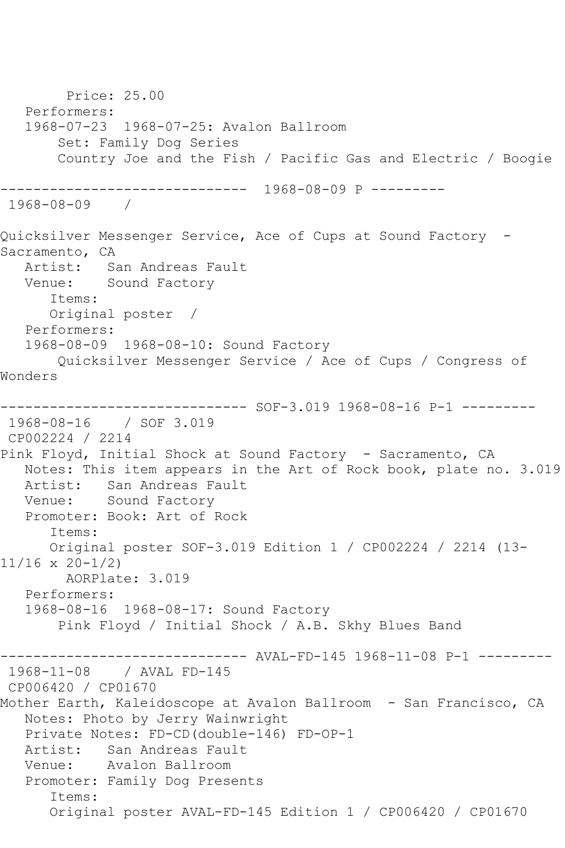Price: 25.00 Performers: 1968-07-23 1968-07-25: Avalon Ballroom Set: Family Dog Series Country Joe and the Fish / Pacific Gas and Electric / Boogie ------------------------------ 1968-08-09 P --------- 1968-08-09 / Quicksilver Messenger Service, Ace of Cups at Sound Factory - Sacramento, CA Artist: San Andreas Fault Venue: Sound Factory Items: Original poster / Performers: 1968-08-09 1968-08-10: Sound Factory Quicksilver Messenger Service / Ace of Cups / Congress of Wonders ------------------------------ SOF-3.019 1968-08-16 P-1 --------- 1968-08-16 / SOF 3.019 CP002224 / 2214 Pink Floyd, Initial Shock at Sound Factory - Sacramento, CA Notes: This item appears in the Art of Rock book, plate no. 3.019 Artist: San Andreas Fault Venue: Sound Factory Promoter: Book: Art of Rock Items: Original poster SOF-3.019 Edition 1 / CP002224 / 2214 (13- 11/16 x 20-1/2) AORPlate: 3.019 Performers: 1968-08-16 1968-08-17: Sound Factory Pink Floyd / Initial Shock / A.B. Skhy Blues Band ------------------------------ AVAL-FD-145 1968-11-08 P-1 --------- 1968-11-08 / AVAL FD-145 CP006420 / CP01670 Mother Earth, Kaleidoscope at Avalon Ballroom - San Francisco, CA Notes: Photo by Jerry Wainwright Private Notes: FD-CD(double-146) FD-OP-1 Artist: San Andreas Fault<br>Venue: Avalon Ballroom Avalon Ballroom Promoter: Family Dog Presents Items: Original poster AVAL-FD-145 Edition 1 / CP006420 / CP01670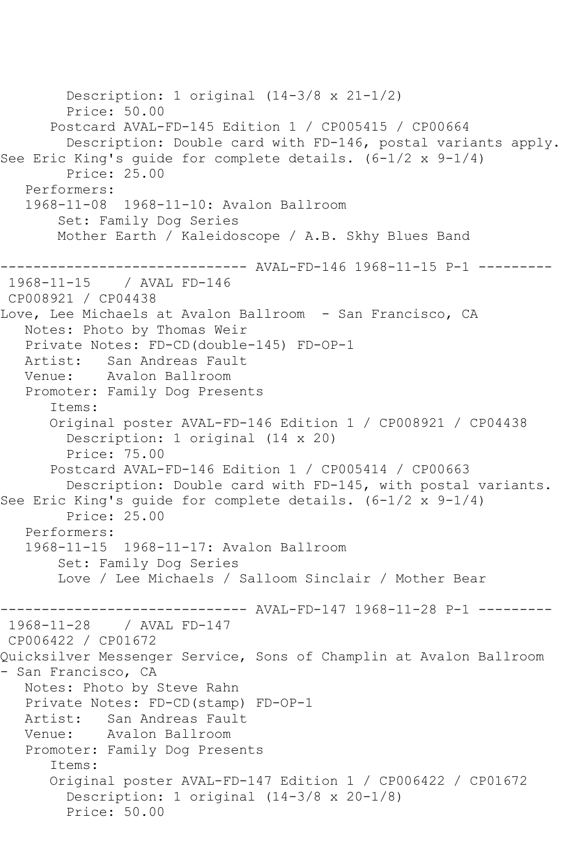```
 Description: 1 original (14-3/8 x 21-1/2)
         Price: 50.00
       Postcard AVAL-FD-145 Edition 1 / CP005415 / CP00664
         Description: Double card with FD-146, postal variants apply. 
See Eric King's guide for complete details. (6-1/2 x 9-1/4)
         Price: 25.00
   Performers:
   1968-11-08 1968-11-10: Avalon Ballroom
        Set: Family Dog Series
        Mother Earth / Kaleidoscope / A.B. Skhy Blues Band
                 ------------------------------ AVAL-FD-146 1968-11-15 P-1 ---------
1968-11-15 / AVAL FD-146
CP008921 / CP04438
Love, Lee Michaels at Avalon Ballroom - San Francisco, CA
   Notes: Photo by Thomas Weir
   Private Notes: FD-CD(double-145) FD-OP-1
   Artist: San Andreas Fault
   Venue: Avalon Ballroom
   Promoter: Family Dog Presents
       Items:
       Original poster AVAL-FD-146 Edition 1 / CP008921 / CP04438
         Description: 1 original (14 x 20)
         Price: 75.00
       Postcard AVAL-FD-146 Edition 1 / CP005414 / CP00663
         Description: Double card with FD-145, with postal variants. 
See Eric King's guide for complete details. (6-1/2 x 9-1/4)
         Price: 25.00
   Performers:
   1968-11-15 1968-11-17: Avalon Ballroom
        Set: Family Dog Series
        Love / Lee Michaels / Salloom Sinclair / Mother Bear
------------------------------ AVAL-FD-147 1968-11-28 P-1 ---------
1968-11-28 / AVAL FD-147
CP006422 / CP01672
Quicksilver Messenger Service, Sons of Champlin at Avalon Ballroom 
- San Francisco, CA
   Notes: Photo by Steve Rahn
   Private Notes: FD-CD(stamp) FD-OP-1
   Artist: San Andreas Fault
   Venue: Avalon Ballroom
   Promoter: Family Dog Presents
       Items:
       Original poster AVAL-FD-147 Edition 1 / CP006422 / CP01672
         Description: 1 original (14-3/8 x 20-1/8)
         Price: 50.00
```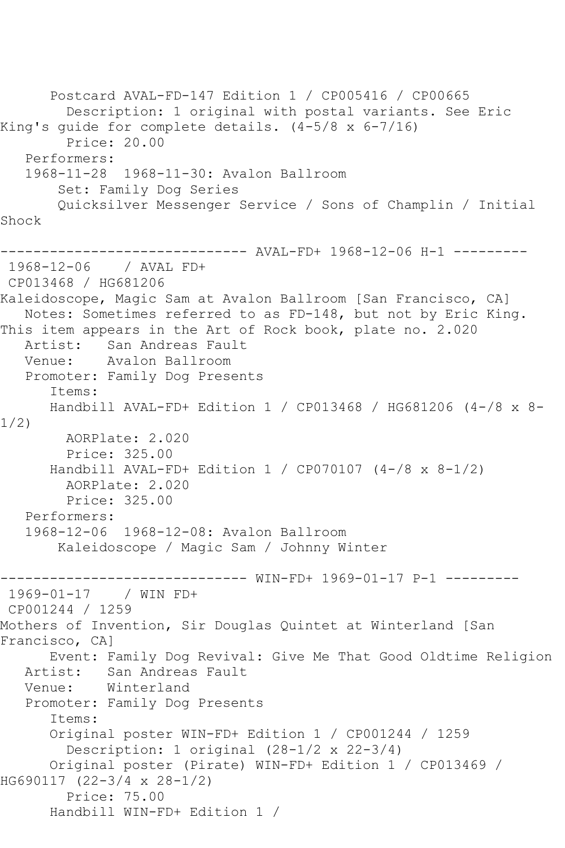```
 Postcard AVAL-FD-147 Edition 1 / CP005416 / CP00665
         Description: 1 original with postal variants. See Eric 
King's guide for complete details. (4-5/8 x 6-7/16)
         Price: 20.00
   Performers:
   1968-11-28 1968-11-30: Avalon Ballroom
        Set: Family Dog Series
        Quicksilver Messenger Service / Sons of Champlin / Initial 
Shock
------------------------------ AVAL-FD+ 1968-12-06 H-1 ---------
1968-12-06 / AVAL FD+
CP013468 / HG681206
Kaleidoscope, Magic Sam at Avalon Ballroom [San Francisco, CA]
   Notes: Sometimes referred to as FD-148, but not by Eric King.
This item appears in the Art of Rock book, plate no. 2.020
   Artist: San Andreas Fault
   Venue: Avalon Ballroom
   Promoter: Family Dog Presents
      Items:
      Handbill AVAL-FD+ Edition 1 / CP013468 / HG681206 (4-/8 x 8-
1/2)
        AORPlate: 2.020 
         Price: 325.00
       Handbill AVAL-FD+ Edition 1 / CP070107 (4-/8 x 8-1/2)
        AORPlate: 2.020 
         Price: 325.00
   Performers:
   1968-12-06 1968-12-08: Avalon Ballroom
        Kaleidoscope / Magic Sam / Johnny Winter
                 ------------------------------ WIN-FD+ 1969-01-17 P-1 ---------
1969-01-17 / WIN FD+
CP001244 / 1259
Mothers of Invention, Sir Douglas Quintet at Winterland [San 
Francisco, CA]
      Event: Family Dog Revival: Give Me That Good Oldtime Religion
   Artist: San Andreas Fault
   Venue: Winterland
   Promoter: Family Dog Presents
       Items:
      Original poster WIN-FD+ Edition 1 / CP001244 / 1259
         Description: 1 original (28-1/2 x 22-3/4)
       Original poster (Pirate) WIN-FD+ Edition 1 / CP013469 / 
HG690117 (22-3/4 x 28-1/2)
         Price: 75.00
      Handbill WIN-FD+ Edition 1 /
```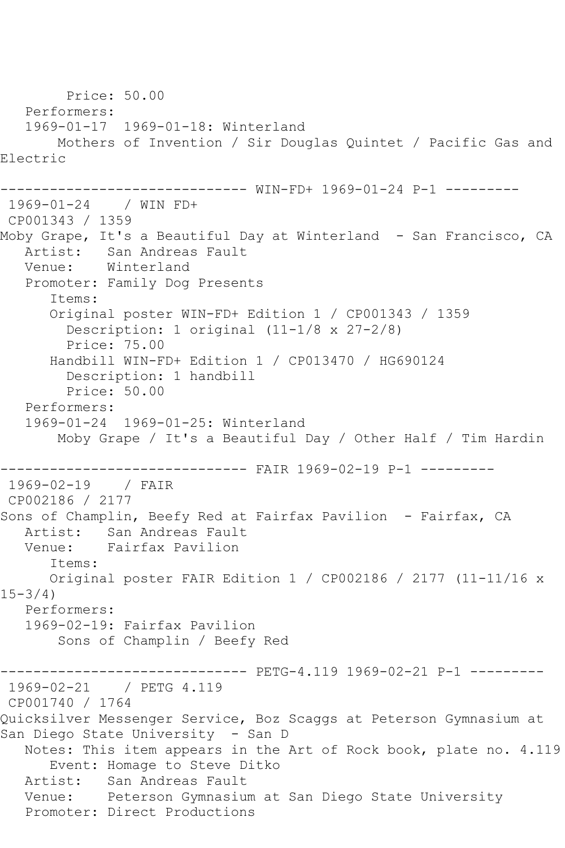Price: 50.00 Performers: 1969-01-17 1969-01-18: Winterland Mothers of Invention / Sir Douglas Quintet / Pacific Gas and Electric ------------------------------ WIN-FD+ 1969-01-24 P-1 --------- 1969-01-24 / WIN FD+ CP001343 / 1359 Moby Grape, It's a Beautiful Day at Winterland - San Francisco, CA Artist: San Andreas Fault Venue: Winterland Promoter: Family Dog Presents Items: Original poster WIN-FD+ Edition 1 / CP001343 / 1359 Description: 1 original (11-1/8 x 27-2/8) Price: 75.00 Handbill WIN-FD+ Edition 1 / CP013470 / HG690124 Description: 1 handbill Price: 50.00 Performers: 1969-01-24 1969-01-25: Winterland Moby Grape / It's a Beautiful Day / Other Half / Tim Hardin ------------------------------ FAIR 1969-02-19 P-1 --------- 1969-02-19 / FAIR CP002186 / 2177 Sons of Champlin, Beefy Red at Fairfax Pavilion - Fairfax, CA Artist: San Andreas Fault Venue: Fairfax Pavilion Items: Original poster FAIR Edition 1 / CP002186 / 2177 (11-11/16 x  $15 - 3/4$  Performers: 1969-02-19: Fairfax Pavilion Sons of Champlin / Beefy Red ------------------------------ PETG-4.119 1969-02-21 P-1 --------- 1969-02-21 / PETG 4.119 CP001740 / 1764 Quicksilver Messenger Service, Boz Scaggs at Peterson Gymnasium at San Diego State University - San D Notes: This item appears in the Art of Rock book, plate no. 4.119 Event: Homage to Steve Ditko Artist: San Andreas Fault Venue: Peterson Gymnasium at San Diego State University Promoter: Direct Productions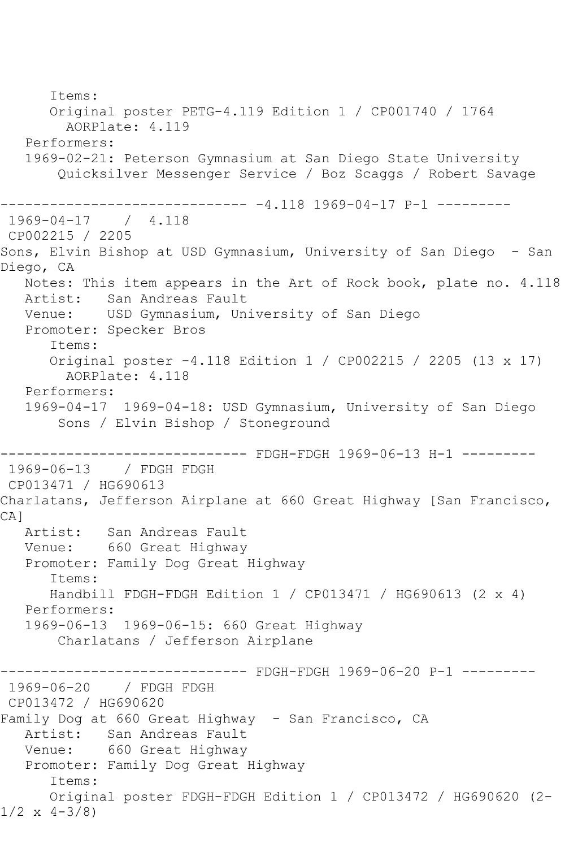Items: Original poster PETG-4.119 Edition 1 / CP001740 / 1764 AORPlate: 4.119 Performers: 1969-02-21: Peterson Gymnasium at San Diego State University Quicksilver Messenger Service / Boz Scaggs / Robert Savage ------------------------------ -4.118 1969-04-17 P-1 --------- 1969-04-17 / 4.118 CP002215 / 2205 Sons, Elvin Bishop at USD Gymnasium, University of San Diego - San Diego, CA Notes: This item appears in the Art of Rock book, plate no. 4.118 Artist: San Andreas Fault Venue: USD Gymnasium, University of San Diego Promoter: Specker Bros Items: Original poster -4.118 Edition 1 / CP002215 / 2205 (13 x 17) AORPlate: 4.118 Performers: 1969-04-17 1969-04-18: USD Gymnasium, University of San Diego Sons / Elvin Bishop / Stoneground ------------------------------ FDGH-FDGH 1969-06-13 H-1 --------- 1969-06-13 / FDGH FDGH CP013471 / HG690613 Charlatans, Jefferson Airplane at 660 Great Highway [San Francisco, CA] Artist: San Andreas Fault Venue: 660 Great Highway Promoter: Family Dog Great Highway Items: Handbill FDGH-FDGH Edition 1 / CP013471 / HG690613 (2 x 4) Performers: 1969-06-13 1969-06-15: 660 Great Highway Charlatans / Jefferson Airplane ------ FDGH-FDGH 1969-06-20 P-1 ---------1969-06-20 / FDGH FDGH CP013472 / HG690620 Family Dog at 660 Great Highway - San Francisco, CA Artist: San Andreas Fault Venue: 660 Great Highway Promoter: Family Dog Great Highway Items: Original poster FDGH-FDGH Edition 1 / CP013472 / HG690620 (2-  $1/2 \times 4 - 3/8$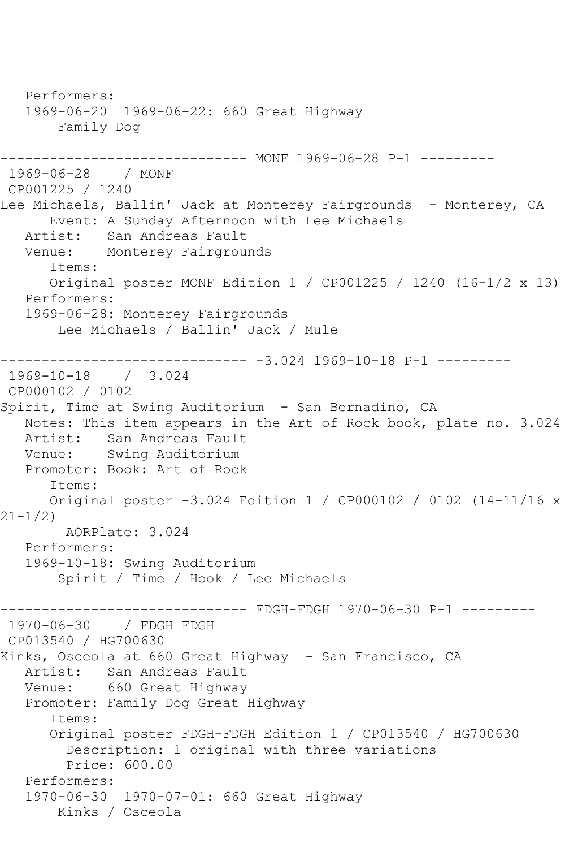Performers: 1969-06-20 1969-06-22: 660 Great Highway Family Dog ------------------------------ MONF 1969-06-28 P-1 --------- 1969-06-28 / MONF CP001225 / 1240 Lee Michaels, Ballin' Jack at Monterey Fairgrounds - Monterey, CA Event: A Sunday Afternoon with Lee Michaels Artist: San Andreas Fault Venue: Monterey Fairgrounds Items: Original poster MONF Edition 1 / CP001225 / 1240 (16-1/2 x 13) Performers: 1969-06-28: Monterey Fairgrounds Lee Michaels / Ballin' Jack / Mule ------------------------------ -3.024 1969-10-18 P-1 --------- 1969-10-18 / 3.024 CP000102 / 0102 Spirit, Time at Swing Auditorium - San Bernadino, CA Notes: This item appears in the Art of Rock book, plate no. 3.024 Artist: San Andreas Fault Venue: Swing Auditorium Promoter: Book: Art of Rock Items: Original poster -3.024 Edition 1 / CP000102 / 0102 (14-11/16 x 21-1/2) AORPlate: 3.024 Performers: 1969-10-18: Swing Auditorium Spirit / Time / Hook / Lee Michaels ------------------------------ FDGH-FDGH 1970-06-30 P-1 --------- 1970-06-30 / FDGH FDGH CP013540 / HG700630 Kinks, Osceola at 660 Great Highway - San Francisco, CA Artist: San Andreas Fault Venue: 660 Great Highway Promoter: Family Dog Great Highway Items: Original poster FDGH-FDGH Edition 1 / CP013540 / HG700630 Description: 1 original with three variations Price: 600.00 Performers: 1970-06-30 1970-07-01: 660 Great Highway Kinks / Osceola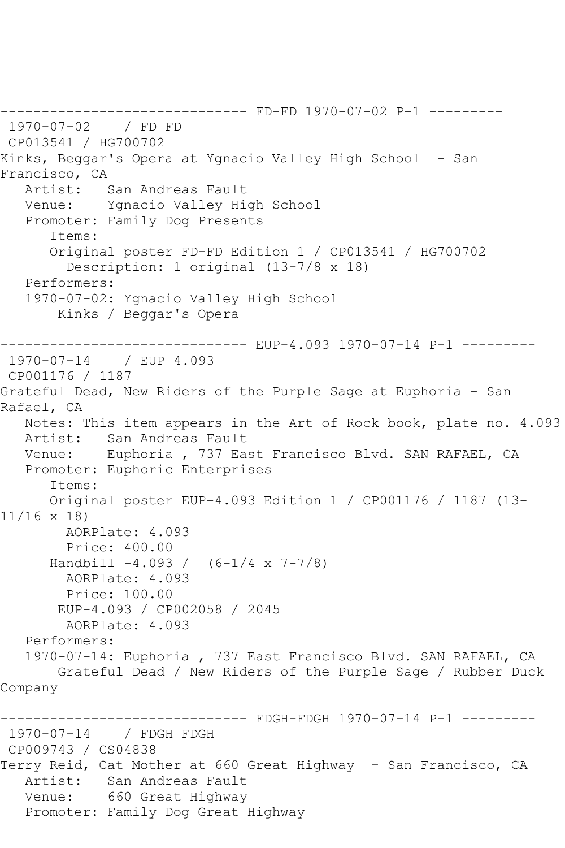------------------------------ FD-FD 1970-07-02 P-1 --------- 1970-07-02 / FD FD CP013541 / HG700702 Kinks, Beggar's Opera at Ygnacio Valley High School - San Francisco, CA<br>Artist: San Andreas Fault Venue: Ygnacio Valley High School Promoter: Family Dog Presents Items: Original poster FD-FD Edition 1 / CP013541 / HG700702 Description: 1 original (13-7/8 x 18) Performers: 1970-07-02: Ygnacio Valley High School Kinks / Beggar's Opera ------------------------------ EUP-4.093 1970-07-14 P-1 --------- 1970-07-14 / EUP 4.093 CP001176 / 1187 Grateful Dead, New Riders of the Purple Sage at Euphoria - San Rafael, CA Notes: This item appears in the Art of Rock book, plate no. 4.093 Artist: San Andreas Fault Venue: Euphoria , 737 East Francisco Blvd. SAN RAFAEL, CA Promoter: Euphoric Enterprises Items: Original poster EUP-4.093 Edition 1 / CP001176 / 1187 (13- 11/16 x 18) AORPlate: 4.093 Price: 400.00 Handbill -4.093 / (6-1/4 x 7-7/8) AORPlate: 4.093 Price: 100.00 EUP-4.093 / CP002058 / 2045 AORPlate: 4.093 Performers: 1970-07-14: Euphoria , 737 East Francisco Blvd. SAN RAFAEL, CA Grateful Dead / New Riders of the Purple Sage / Rubber Duck Company ------------ FDGH-FDGH 1970-07-14 P-1 ---------1970-07-14 / FDGH FDGH CP009743 / CS04838 Terry Reid, Cat Mother at 660 Great Highway - San Francisco, CA Artist: San Andreas Fault Venue: 660 Great Highway Promoter: Family Dog Great Highway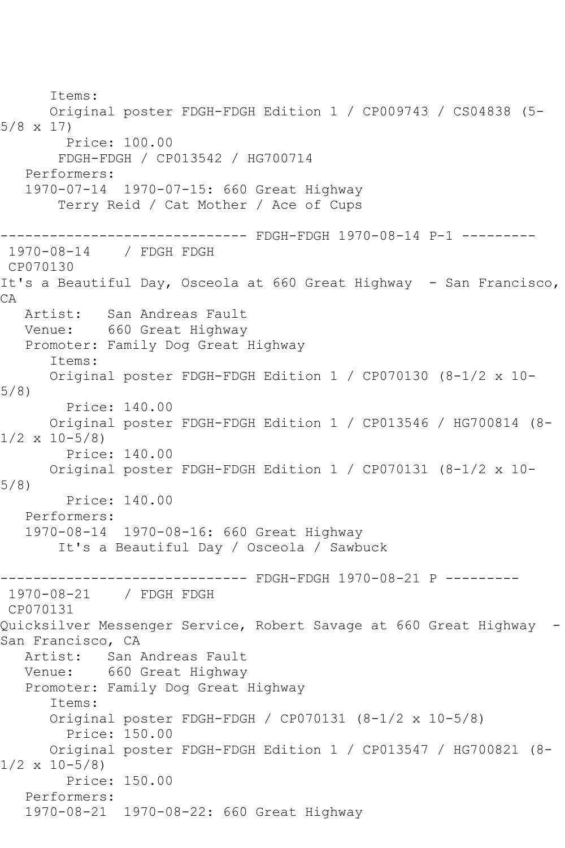Items: Original poster FDGH-FDGH Edition 1 / CP009743 / CS04838 (5- 5/8 x 17) Price: 100.00 FDGH-FDGH / CP013542 / HG700714 Performers: 1970-07-14 1970-07-15: 660 Great Highway Terry Reid / Cat Mother / Ace of Cups ------------------------------ FDGH-FDGH 1970-08-14 P-1 --------- 1970-08-14 / FDGH FDGH CP070130 It's a Beautiful Day, Osceola at 660 Great Highway - San Francisco, CA Artist: San Andreas Fault Venue: 660 Great Highway Promoter: Family Dog Great Highway Items: Original poster FDGH-FDGH Edition 1 / CP070130 (8-1/2 x 10- 5/8) Price: 140.00 Original poster FDGH-FDGH Edition 1 / CP013546 / HG700814 (8-  $1/2 \times 10-5/8$  Price: 140.00 Original poster FDGH-FDGH Edition 1 / CP070131 (8-1/2 x 10- 5/8) Price: 140.00 Performers: 1970-08-14 1970-08-16: 660 Great Highway It's a Beautiful Day / Osceola / Sawbuck ------------------------------ FDGH-FDGH 1970-08-21 P --------- 1970-08-21 / FDGH FDGH CP070131 Quicksilver Messenger Service, Robert Savage at 660 Great Highway - San Francisco, CA Artist: San Andreas Fault Venue: 660 Great Highway Promoter: Family Dog Great Highway Items: Original poster FDGH-FDGH / CP070131 (8-1/2 x 10-5/8) Price: 150.00 Original poster FDGH-FDGH Edition 1 / CP013547 / HG700821 (8-  $1/2 \times 10-5/8$  Price: 150.00 Performers: 1970-08-21 1970-08-22: 660 Great Highway